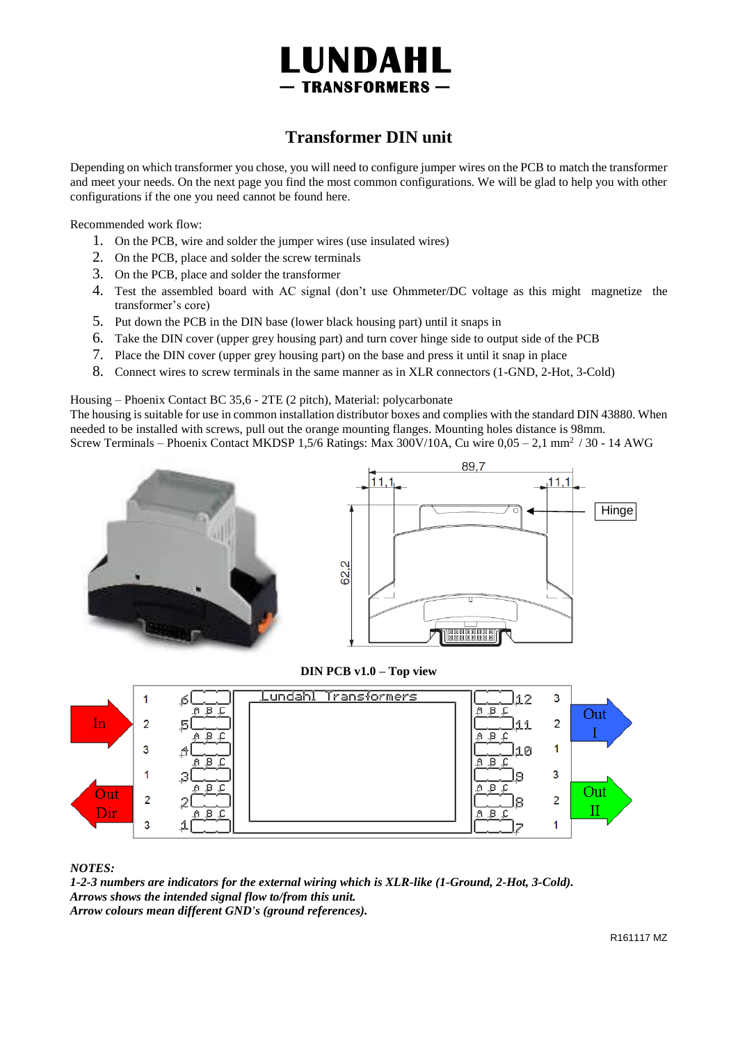

# **Transformer DIN unit**

Depending on which transformer you chose, you will need to configure jumper wires on the PCB to match the transformer and meet your needs. On the next page you find the most common configurations. We will be glad to help you with other configurations if the one you need cannot be found here.

Recommended work flow:

- 1. On the PCB, wire and solder the jumper wires (use insulated wires)
- 2. On the PCB, place and solder the screw terminals
- 3. On the PCB, place and solder the transformer
- 4. Test the assembled board with AC signal (don't use Ohmmeter/DC voltage as this might magnetize the transformer's core)
- 5. Put down the PCB in the DIN base (lower black housing part) until it snaps in
- 6. Take the DIN cover (upper grey housing part) and turn cover hinge side to output side of the PCB
- 7. Place the DIN cover (upper grey housing part) on the base and press it until it snap in place
- 8. Connect wires to screw terminals in the same manner as in XLR connectors (1-GND, 2-Hot, 3-Cold)

Housing – Phoenix Contact BC 35,6 - 2TE (2 pitch), Material: polycarbonate

The housing is suitable for use in common installation distributor boxes and complies with the standard DIN 43880. When needed to be installed with screws, pull out the orange mounting flanges. Mounting holes distance is 98mm. Screw Terminals – Phoenix Contact MKDSP 1,5/6 Ratings: Max 300V/10A, Cu wire 0,05 – 2,1 mm<sup>2</sup>/ 30 - 14 AWG





**DIN PCB v1.0 – Top view**



*NOTES:*

*1-2-3 numbers are indicators for the external wiring which is XLR-like (1-Ground, 2-Hot, 3-Cold). Arrows shows the intended signal flow to/from this unit. Arrow colours mean different GND's (ground references).*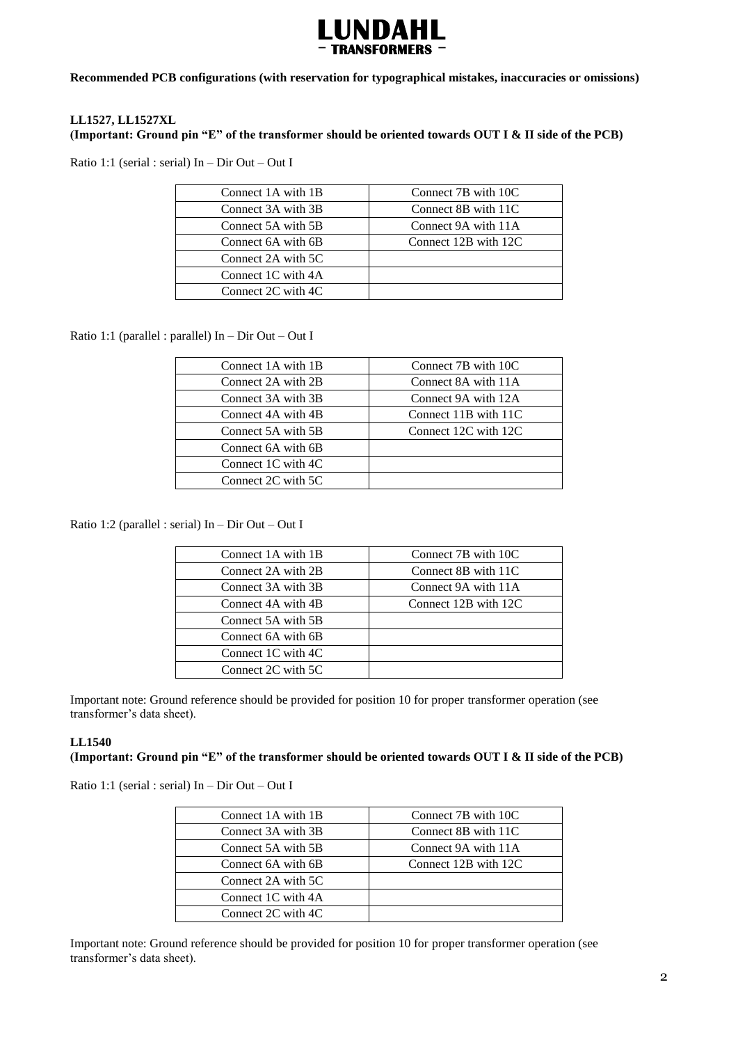

**Recommended PCB configurations (with reservation for typographical mistakes, inaccuracies or omissions)**

# **LL1527, LL1527XL**

**(Important: Ground pin "E" of the transformer should be oriented towards OUT I & II side of the PCB)**

Ratio 1:1 (serial : serial) In – Dir Out – Out I

| Connect 1A with 1B | Connect 7B with 10C  |
|--------------------|----------------------|
| Connect 3A with 3B | Connect 8B with 11C  |
| Connect 5A with 5B | Connect 9A with 11A  |
| Connect 6A with 6B | Connect 12B with 12C |
| Connect 2A with 5C |                      |
| Connect 1C with 4A |                      |
| Connect 2C with 4C |                      |

Ratio 1:1 (parallel : parallel) In – Dir Out – Out I

| Connect 1A with 1B | Connect 7B with 10C  |
|--------------------|----------------------|
| Connect 2A with 2B | Connect 8A with 11A  |
| Connect 3A with 3B | Connect 9A with 12A  |
| Connect 4A with 4B | Connect 11B with 11C |
| Connect 5A with 5B | Connect 12C with 12C |
| Connect 6A with 6B |                      |
| Connect 1C with 4C |                      |
| Connect 2C with 5C |                      |

Ratio 1:2 (parallel : serial) In – Dir Out – Out I

| Connect 1A with 1B | Connect 7B with 10C  |
|--------------------|----------------------|
| Connect 2A with 2B | Connect 8B with 11C  |
| Connect 3A with 3B | Connect 9A with 11A  |
| Connect 4A with 4B | Connect 12B with 12C |
| Connect 5A with 5B |                      |
| Connect 6A with 6B |                      |
| Connect 1C with 4C |                      |
| Connect 2C with 5C |                      |

Important note: Ground reference should be provided for position 10 for proper transformer operation (see transformer's data sheet).

## **LL1540**

# **(Important: Ground pin "E" of the transformer should be oriented towards OUT I & II side of the PCB)**

Ratio 1:1 (serial : serial) In – Dir Out – Out I

| Connect 1A with 1B | Connect 7B with 10C  |
|--------------------|----------------------|
| Connect 3A with 3B | Connect 8B with 11C  |
| Connect 5A with 5B | Connect 9A with 11A  |
| Connect 6A with 6B | Connect 12B with 12C |
| Connect 2A with 5C |                      |
| Connect 1C with 4A |                      |
| Connect 2C with 4C |                      |
|                    |                      |

Important note: Ground reference should be provided for position 10 for proper transformer operation (see transformer's data sheet).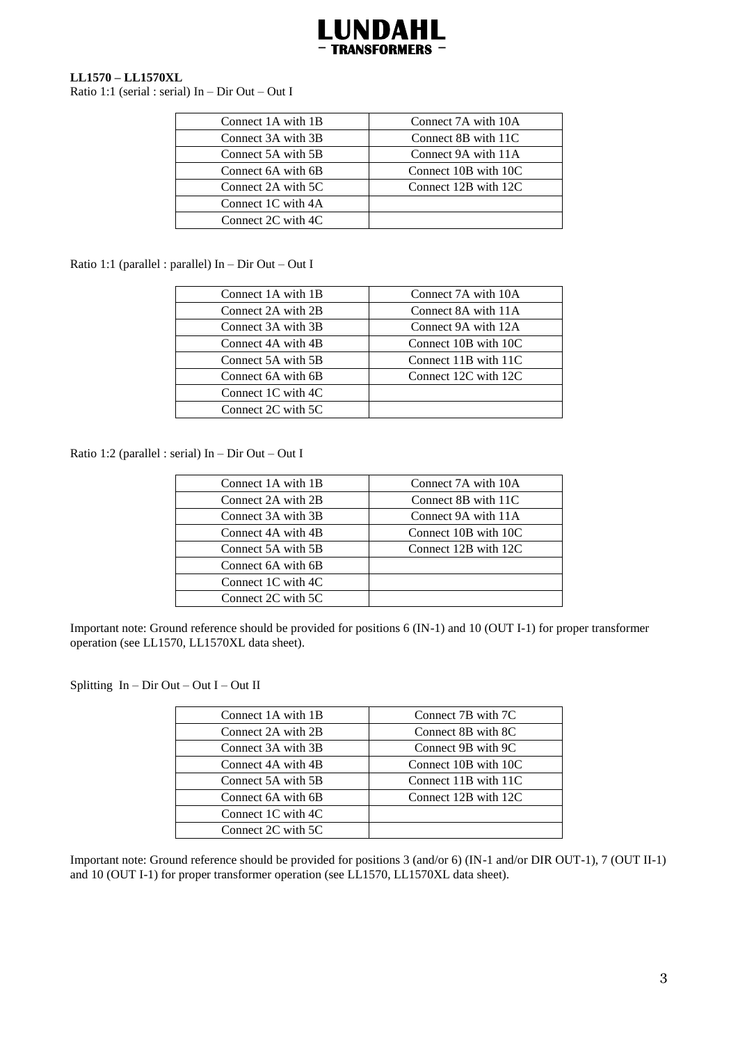

## **LL1570 – LL1570XL**

Ratio 1:1 (serial : serial) In – Dir Out – Out I

| Connect 1A with 1B | Connect 7A with 10A  |
|--------------------|----------------------|
| Connect 3A with 3B | Connect 8B with 11C  |
| Connect 5A with 5B | Connect 9A with 11A  |
| Connect 6A with 6B | Connect 10B with 10C |
| Connect 2A with 5C | Connect 12B with 12C |
| Connect 1C with 4A |                      |
| Connect 2C with 4C |                      |

Ratio 1:1 (parallel : parallel) In – Dir Out – Out I

| Connect 1A with 1B | Connect 7A with 10A  |
|--------------------|----------------------|
| Connect 2A with 2B | Connect 8A with 11A  |
| Connect 3A with 3B | Connect 9A with 12A  |
| Connect 4A with 4B | Connect 10B with 10C |
| Connect 5A with 5B | Connect 11B with 11C |
| Connect 6A with 6B | Connect 12C with 12C |
| Connect 1C with 4C |                      |
| Connect 2C with 5C |                      |

Ratio 1:2 (parallel : serial) In – Dir Out – Out I

| Connect 1A with 1B | Connect 7A with 10A  |
|--------------------|----------------------|
| Connect 2A with 2B | Connect 8B with 11C  |
| Connect 3A with 3B | Connect 9A with 11A  |
| Connect 4A with 4B | Connect 10B with 10C |
| Connect 5A with 5B | Connect 12B with 12C |
| Connect 6A with 6B |                      |
| Connect 1C with 4C |                      |
| Connect 2C with 5C |                      |

Important note: Ground reference should be provided for positions 6 (IN-1) and 10 (OUT I-1) for proper transformer operation (see LL1570, LL1570XL data sheet).

Splitting In – Dir Out – Out I – Out II

| Connect 1A with 1B | Connect 7B with 7C   |
|--------------------|----------------------|
| Connect 2A with 2B | Connect 8B with 8C   |
| Connect 3A with 3B | Connect 9B with 9C   |
| Connect 4A with 4B | Connect 10B with 10C |
| Connect 5A with 5B | Connect 11B with 11C |
| Connect 6A with 6B | Connect 12B with 12C |
| Connect 1C with 4C |                      |
| Connect 2C with 5C |                      |

Important note: Ground reference should be provided for positions 3 (and/or 6) (IN-1 and/or DIR OUT-1), 7 (OUT II-1) and 10 (OUT I-1) for proper transformer operation (see LL1570, LL1570XL data sheet).